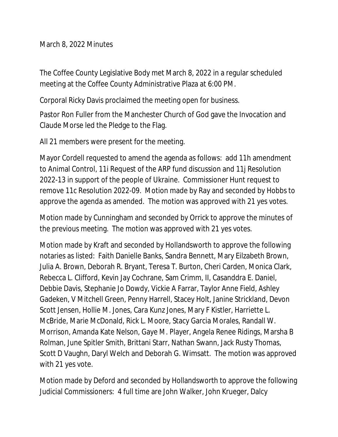March 8, 2022 Minutes

The Coffee County Legislative Body met March 8, 2022 in a regular scheduled meeting at the Coffee County Administrative Plaza at 6:00 PM.

Corporal Ricky Davis proclaimed the meeting open for business.

Pastor Ron Fuller from the Manchester Church of God gave the Invocation and Claude Morse led the Pledge to the Flag.

All 21 members were present for the meeting.

Mayor Cordell requested to amend the agenda as follows: add 11h amendment to Animal Control, 11i Request of the ARP fund discussion and 11j Resolution 2022-13 in support of the people of Ukraine. Commissioner Hunt request to remove 11c Resolution 2022-09. Motion made by Ray and seconded by Hobbs to approve the agenda as amended. The motion was approved with 21 yes votes.

Motion made by Cunningham and seconded by Orrick to approve the minutes of the previous meeting. The motion was approved with 21 yes votes.

Motion made by Kraft and seconded by Hollandsworth to approve the following notaries as listed: Faith Danielle Banks, Sandra Bennett, Mary Eilzabeth Brown, Julia A. Brown, Deborah R. Bryant, Teresa T. Burton, Cheri Carden, Monica Clark, Rebecca L. Clifford, Kevin Jay Cochrane, Sam Crimm, II, Casanddra E. Daniel, Debbie Davis, Stephanie Jo Dowdy, Vickie A Farrar, Taylor Anne Field, Ashley Gadeken, V Mitchell Green, Penny Harrell, Stacey Holt, Janine Strickland, Devon Scott Jensen, Hollie M. Jones, Cara Kunz Jones, Mary F Kistler, Harriette L. McBride, Marie McDonald, Rick L. Moore, Stacy Garcia Morales, Randall W. Morrison, Amanda Kate Nelson, Gaye M. Player, Angela Renee Ridings, Marsha B Rolman, June Spitler Smith, Brittani Starr, Nathan Swann, Jack Rusty Thomas, Scott D Vaughn, Daryl Welch and Deborah G. Wimsatt. The motion was approved with 21 yes vote.

Motion made by Deford and seconded by Hollandsworth to approve the following Judicial Commissioners: 4 full time are John Walker, John Krueger, Dalcy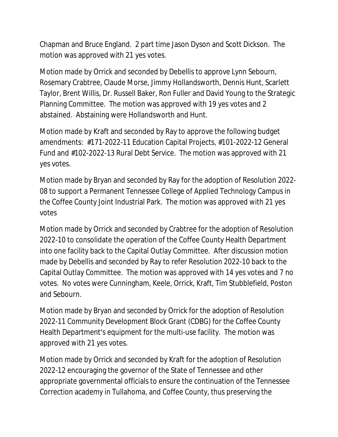Chapman and Bruce England. 2 part time Jason Dyson and Scott Dickson. The motion was approved with 21 yes votes.

Motion made by Orrick and seconded by Debellis to approve Lynn Sebourn, Rosemary Crabtree, Claude Morse, Jimmy Hollandsworth, Dennis Hunt, Scarlett Taylor, Brent Willis, Dr. Russell Baker, Ron Fuller and David Young to the Strategic Planning Committee. The motion was approved with 19 yes votes and 2 abstained. Abstaining were Hollandsworth and Hunt.

Motion made by Kraft and seconded by Ray to approve the following budget amendments: #171-2022-11 Education Capital Projects, #101-2022-12 General Fund and #102-2022-13 Rural Debt Service. The motion was approved with 21 yes votes.

Motion made by Bryan and seconded by Ray for the adoption of Resolution 2022- 08 to support a Permanent Tennessee College of Applied Technology Campus in the Coffee County Joint Industrial Park. The motion was approved with 21 yes votes

Motion made by Orrick and seconded by Crabtree for the adoption of Resolution 2022-10 to consolidate the operation of the Coffee County Health Department into one facility back to the Capital Outlay Committee. After discussion motion made by Debellis and seconded by Ray to refer Resolution 2022-10 back to the Capital Outlay Committee. The motion was approved with 14 yes votes and 7 no votes. No votes were Cunningham, Keele, Orrick, Kraft, Tim Stubblefield, Poston and Sebourn.

Motion made by Bryan and seconded by Orrick for the adoption of Resolution 2022-11 Community Development Block Grant (CDBG) for the Coffee County Health Department's equipment for the multi-use facility. The motion was approved with 21 yes votes.

Motion made by Orrick and seconded by Kraft for the adoption of Resolution 2022-12 encouraging the governor of the State of Tennessee and other appropriate governmental officials to ensure the continuation of the Tennessee Correction academy in Tullahoma, and Coffee County, thus preserving the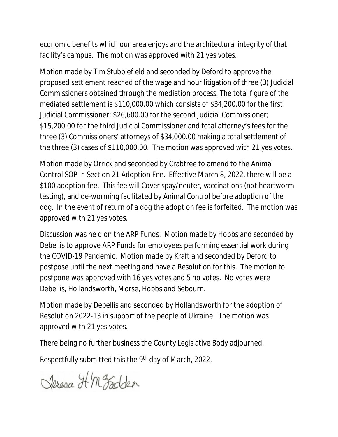economic benefits which our area enjoys and the architectural integrity of that facility's campus. The motion was approved with 21 yes votes.

Motion made by Tim Stubblefield and seconded by Deford to approve the proposed settlement reached of the wage and hour litigation of three (3) Judicial Commissioners obtained through the mediation process. The total figure of the mediated settlement is \$110,000.00 which consists of \$34,200.00 for the first Judicial Commissioner; \$26,600.00 for the second Judicial Commissioner; \$15,200.00 for the third Judicial Commissioner and total attorney's fees for the three (3) Commissioners' attorneys of \$34,000.00 making a total settlement of the three (3) cases of \$110,000.00. The motion was approved with 21 yes votes.

Motion made by Orrick and seconded by Crabtree to amend to the Animal Control SOP in Section 21 Adoption Fee. Effective March 8, 2022, there will be a \$100 adoption fee. This fee will Cover spay/neuter, vaccinations (not heartworm testing), and de-worming facilitated by Animal Control before adoption of the dog. In the event of return of a dog the adoption fee is forfeited. The motion was approved with 21 yes votes.

Discussion was held on the ARP Funds. Motion made by Hobbs and seconded by Debellis to approve ARP Funds for employees performing essential work during the COVID-19 Pandemic. Motion made by Kraft and seconded by Deford to postpose until the next meeting and have a Resolution for this. The motion to postpone was approved with 16 yes votes and 5 no votes. No votes were Debellis, Hollandsworth, Morse, Hobbs and Sebourn.

Motion made by Debellis and seconded by Hollandsworth for the adoption of Resolution 2022-13 in support of the people of Ukraine. The motion was approved with 21 yes votes.

There being no further business the County Legislative Body adjourned.

Respectfully submitted this the 9th day of March, 2022.

Jeresa HM Fadden